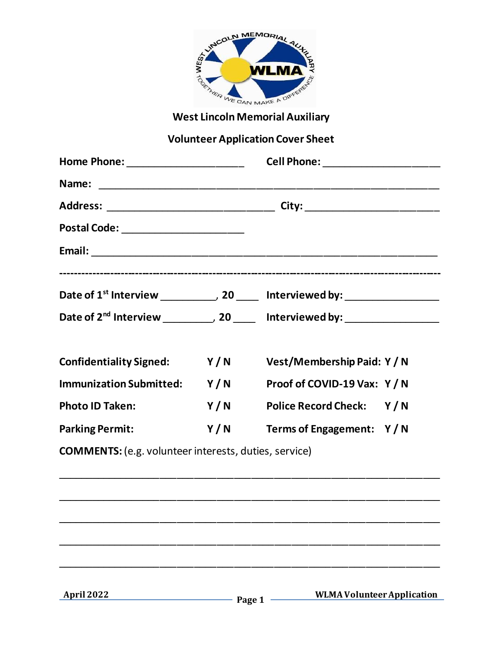

# **Volunteer Application Cover Sheet**

| Home Phone: ______________________                           |     | Cell Phone: ______________________                                                          |  |
|--------------------------------------------------------------|-----|---------------------------------------------------------------------------------------------|--|
|                                                              |     |                                                                                             |  |
|                                                              |     |                                                                                             |  |
| Postal Code: ______________________                          |     |                                                                                             |  |
|                                                              |     |                                                                                             |  |
|                                                              |     | Date of $1^{st}$ Interview ____________, 20 ______ Interviewed by: ________________         |  |
|                                                              |     | Date of 2 <sup>nd</sup> Interview ___________, 20 ______ Interviewed by: __________________ |  |
| <b>Confidentiality Signed:</b>                               |     | Y/N Vest/Membership Paid: Y/N                                                               |  |
| Immunization Submitted: Y/N                                  |     | Proof of COVID-19 Vax: Y / N                                                                |  |
| <b>Photo ID Taken:</b>                                       | Y/N | Police Record Check: Y/N                                                                    |  |
| <b>Parking Permit:</b>                                       | Y/N | Terms of Engagement: Y/N                                                                    |  |
| <b>COMMENTS:</b> (e.g. volunteer interests, duties, service) |     |                                                                                             |  |

**April 2022 Page 1** -

 **WLMA Volunteer Application**

\_\_\_\_\_\_\_\_\_\_\_\_\_\_\_\_\_\_\_\_\_\_\_\_\_\_\_\_\_\_\_\_\_\_\_\_\_\_\_\_\_\_\_\_\_\_\_\_\_\_\_\_\_\_\_\_\_\_\_\_\_\_\_\_\_\_\_

\_\_\_\_\_\_\_\_\_\_\_\_\_\_\_\_\_\_\_\_\_\_\_\_\_\_\_\_\_\_\_\_\_\_\_\_\_\_\_\_\_\_\_\_\_\_\_\_\_\_\_\_\_\_\_\_\_\_\_\_\_\_\_\_\_\_\_

\_\_\_\_\_\_\_\_\_\_\_\_\_\_\_\_\_\_\_\_\_\_\_\_\_\_\_\_\_\_\_\_\_\_\_\_\_\_\_\_\_\_\_\_\_\_\_\_\_\_\_\_\_\_\_\_\_\_\_\_\_\_\_\_\_\_\_

\_\_\_\_\_\_\_\_\_\_\_\_\_\_\_\_\_\_\_\_\_\_\_\_\_\_\_\_\_\_\_\_\_\_\_\_\_\_\_\_\_\_\_\_\_\_\_\_\_\_\_\_\_\_\_\_\_\_\_\_\_\_\_\_\_\_\_

\_\_\_\_\_\_\_\_\_\_\_\_\_\_\_\_\_\_\_\_\_\_\_\_\_\_\_\_\_\_\_\_\_\_\_\_\_\_\_\_\_\_\_\_\_\_\_\_\_\_\_\_\_\_\_\_\_\_\_\_\_\_\_\_\_\_\_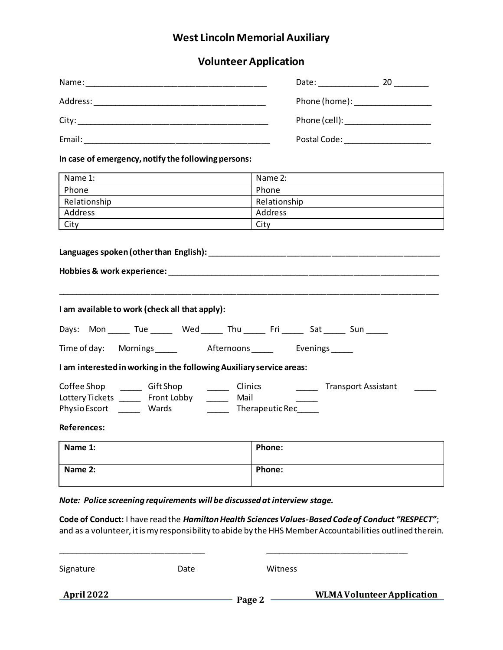## **West Lincoln Memorial Auxiliary**

### **Volunteer Application**

| Name:                                                                                                                             | Date: the control of the control of the control of the control of the control of the control of the control of the control of the control of the control of the control of the control of the control of the control of the co<br>20 |
|-----------------------------------------------------------------------------------------------------------------------------------|--------------------------------------------------------------------------------------------------------------------------------------------------------------------------------------------------------------------------------------|
| Address:<br><u> 1980 - Jan James Santan, masjid a shekarar 1980 - An tsara tsara tsara tsara tsara tsara tsara tsara tsara ts</u> | Phone (home): ___________________                                                                                                                                                                                                    |
| City:<br><u> 1989 - John Stein, Amerikaansk konstantinopler († 1908)</u>                                                          | Phone (cell): ______________________                                                                                                                                                                                                 |
| Email:                                                                                                                            | Postal Code:                                                                                                                                                                                                                         |

**In case of emergency, notify the following persons:**

| Name 1:      | Name 2:      |
|--------------|--------------|
| Phone        | Phone        |
| Relationship | Relationship |
| Address      | Address      |
| City         | City         |

| I am available to work (check all that apply):                                                                                                                                                                        |        |  |  |
|-----------------------------------------------------------------------------------------------------------------------------------------------------------------------------------------------------------------------|--------|--|--|
| Days: Mon ______ Tue _______ Wed ______ Thu ______ Fri ______ Sat ______ Sun _____                                                                                                                                    |        |  |  |
| Time of day: Mornings _______ Afternoons ______ Evenings _____                                                                                                                                                        |        |  |  |
| I am interested in working in the following Auxiliary service areas:                                                                                                                                                  |        |  |  |
| Coffee Shop _________ Gift Shop ____________ Clinics _____________________Transport Assistant<br>Lottery Tickets _______ Front Lobby ________ Mail<br>Physio Escort ________ Wards ____________ Therapeutic Rec______ |        |  |  |
| References:                                                                                                                                                                                                           |        |  |  |
| Name 1:                                                                                                                                                                                                               | Phone: |  |  |

*Note: Police screening requirements will be discussed at interview stage.* 

**Name 2: Phone:**

**Code of Conduct:** I have read the *Hamilton Health Sciences Values-Based Code of Conduct "RESPECT"*; and as a volunteer, it is my responsibility to abide by the HHS Member Accountabilities outlined therein.

| April 2022 |      | Page 2  | <b>WLMA Volunteer Application</b> |
|------------|------|---------|-----------------------------------|
| Signature  | Date | Witness |                                   |

\_\_\_\_\_\_\_\_\_\_\_\_\_\_\_\_\_\_\_\_\_\_\_\_\_\_\_\_\_\_\_\_\_ \_\_\_\_\_\_\_\_\_\_\_\_\_\_\_\_\_\_\_\_\_\_\_\_\_\_\_\_\_\_\_\_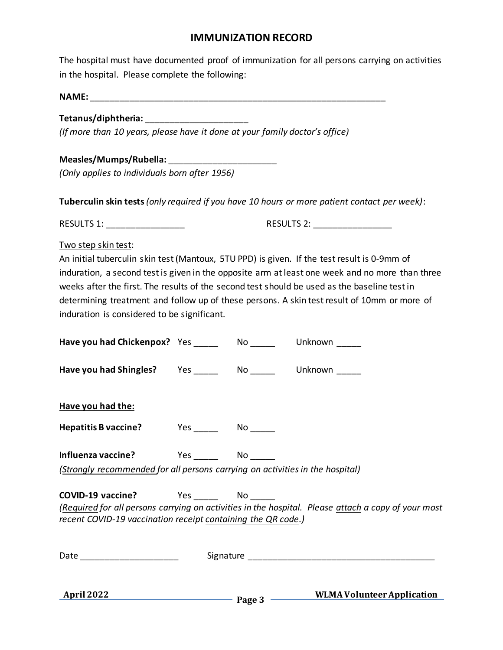#### **IMMUNIZATION RECORD**

The hospital must have documented proof of immunization for all persons carrying on activities in the hospital. Please complete the following:

**NAME:** \_\_\_\_\_\_\_\_\_\_\_\_\_\_\_\_\_\_\_\_\_\_\_\_\_\_\_\_\_\_\_\_\_\_\_\_\_\_\_\_\_\_\_\_\_\_\_\_\_\_\_\_\_\_\_\_\_\_\_\_

#### **Tetanus/diphtheria:** \_\_\_\_\_\_\_\_\_\_\_\_\_\_\_\_\_\_\_\_\_

*(If more than 10 years, please have it done at your family doctor's office)*

#### **Measles/Mumps/Rubella:** \_\_\_\_\_\_\_\_\_\_\_\_\_\_\_\_\_\_\_\_\_\_

*(Only applies to individuals born after 1956)*

**Tuberculin skin tests***(only required if you have 10 hours or more patient contact per week)*:

RESULTS 1: \_\_\_\_\_\_\_\_\_\_\_\_\_\_\_\_ RESULTS 2: \_\_\_\_\_\_\_\_\_\_\_\_\_\_\_\_

#### Two step skin test:

An initial tuberculin skin test (Mantoux, 5TU PPD) is given. If the test result is 0-9mm of induration, a second test is given in the opposite arm at least one week and no more than three weeks after the first. The results of the second test should be used as the baseline test in determining treatment and follow up of these persons. A skin test result of 10mm or more of induration is considered to be significant.

|                                                                                             |  | April 2022 Page 3 WLMA Volunteer Application                                                        |
|---------------------------------------------------------------------------------------------|--|-----------------------------------------------------------------------------------------------------|
|                                                                                             |  |                                                                                                     |
| COVID-19 vaccine? Ves No No<br>recent COVID-19 vaccination receipt containing the QR code.) |  | (Required for all persons carrying on activities in the hospital. Please attach a copy of your most |
| (Strongly recommended for all persons carrying on activities in the hospital)               |  |                                                                                                     |
|                                                                                             |  |                                                                                                     |
|                                                                                             |  |                                                                                                     |
| Have you had the:                                                                           |  |                                                                                                     |
| Have you had Shingles? Yes _______ No _______ Unknown _____                                 |  |                                                                                                     |
| Have you had Chickenpox? Yes _______ No _______ Unknown _____                               |  |                                                                                                     |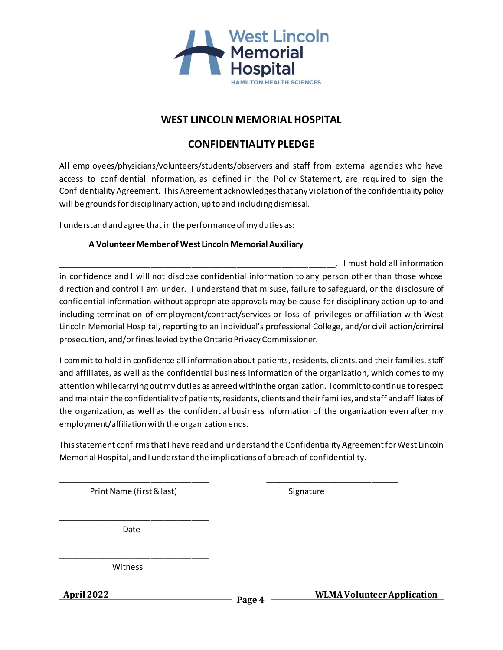

#### **WEST LINCOLN MEMORIAL HOSPITAL**

#### **CONFIDENTIALITY PLEDGE**

All employees/physicians/volunteers/students/observers and staff from external agencies who have access to confidential information, as defined in the Policy Statement, are required to sign the Confidentiality Agreement. This Agreement acknowledges that any violation of the confidentiality policy will be grounds for disciplinary action, up to and including dismissal.

I understand and agree that in the performance of my duties as:

#### **A Volunteer Member of West Lincoln Memorial Auxiliary**

\_\_\_\_\_\_\_\_\_\_\_\_\_\_\_\_\_\_\_\_\_\_\_\_\_\_\_\_\_\_\_\_\_\_\_\_\_\_\_\_\_\_\_\_\_\_\_\_\_\_\_\_\_\_\_\_\_\_\_\_\_\_, I must hold all information in confidence and I will not disclose confidential information to any person other than those whose direction and control I am under. I understand that misuse, failure to safeguard, or the disclosure of confidential information without appropriate approvals may be cause for disciplinary action up to and including termination of employment/contract/services or loss of privileges or affiliation with West Lincoln Memorial Hospital, reporting to an individual's professional College, and/or civil action/criminal prosecution, and/or fines levied by the Ontario Privacy Commissioner.

I commit to hold in confidence all information about patients, residents, clients, and their families, staff and affiliates, as well as the confidential business information of the organization, which comes to my attention while carrying out my duties as agreed within the organization. I commit to continue to respect and maintain the confidentiality of patients, residents, clients and their families, and staff and affiliates of the organization, as well as the confidential business information of the organization even after my employment/affiliation with the organization ends.

This statement confirms that I have read and understand the Confidentiality Agreement for West Lincoln Memorial Hospital, and I understand the implications of a breach of confidentiality.

\_\_\_\_\_\_\_\_\_\_\_\_\_\_\_\_\_\_\_\_\_\_\_\_\_\_\_\_\_\_\_\_\_\_ \_\_\_\_\_\_\_\_\_\_\_\_\_\_\_\_\_\_\_\_\_\_\_\_\_\_\_\_\_\_

Print Name (first & last) Signature

\_\_\_\_\_\_\_\_\_\_\_\_\_\_\_\_\_\_\_\_\_\_\_\_\_\_\_\_\_\_\_\_\_\_ Date

Witness

\_\_\_\_\_\_\_\_\_\_\_\_\_\_\_\_\_\_\_\_\_\_\_\_\_\_\_\_\_\_\_\_\_\_

**April 2022 Page 4**

 **WLMA Volunteer Application**